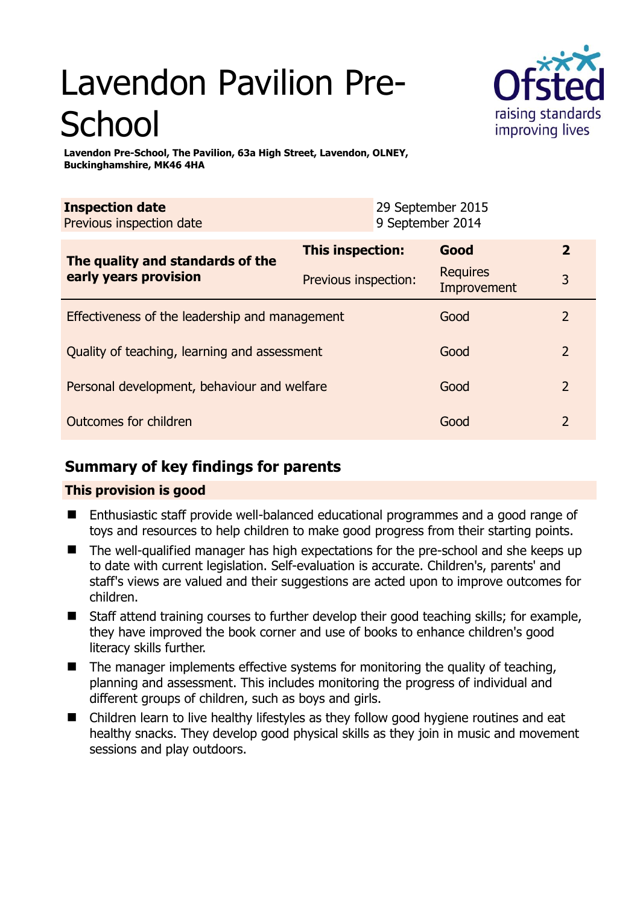# Lavendon Pavilion Pre-**School**



**Lavendon Pre-School, The Pavilion, 63a High Street, Lavendon, OLNEY, Buckinghamshire, MK46 4HA** 

| <b>Inspection date</b><br>Previous inspection date        |                      | 29 September 2015<br>9 September 2014 |                                |                |
|-----------------------------------------------------------|----------------------|---------------------------------------|--------------------------------|----------------|
| The quality and standards of the<br>early years provision | This inspection:     |                                       | Good                           | $\mathbf{2}$   |
|                                                           | Previous inspection: |                                       | <b>Requires</b><br>Improvement | 3              |
| Effectiveness of the leadership and management            |                      |                                       | Good                           | $\mathcal{P}$  |
| Quality of teaching, learning and assessment              |                      |                                       | Good                           | $\overline{2}$ |
| Personal development, behaviour and welfare               |                      |                                       | Good                           | 2              |

## Outcomes for children and 2 and 2 and 2 and 2 and 2 and 2 and 2 and 2 and 2 and 2 and 2 and 2 and 2 and 2 and 2

# **Summary of key findings for parents**

## **This provision is good**

- Enthusiastic staff provide well-balanced educational programmes and a good range of toys and resources to help children to make good progress from their starting points.
- The well-qualified manager has high expectations for the pre-school and she keeps up to date with current legislation. Self-evaluation is accurate. Children's, parents' and staff's views are valued and their suggestions are acted upon to improve outcomes for children.
- Staff attend training courses to further develop their good teaching skills; for example, they have improved the book corner and use of books to enhance children's good literacy skills further.
- The manager implements effective systems for monitoring the quality of teaching, planning and assessment. This includes monitoring the progress of individual and different groups of children, such as boys and girls.
- Children learn to live healthy lifestyles as they follow good hygiene routines and eat healthy snacks. They develop good physical skills as they join in music and movement sessions and play outdoors.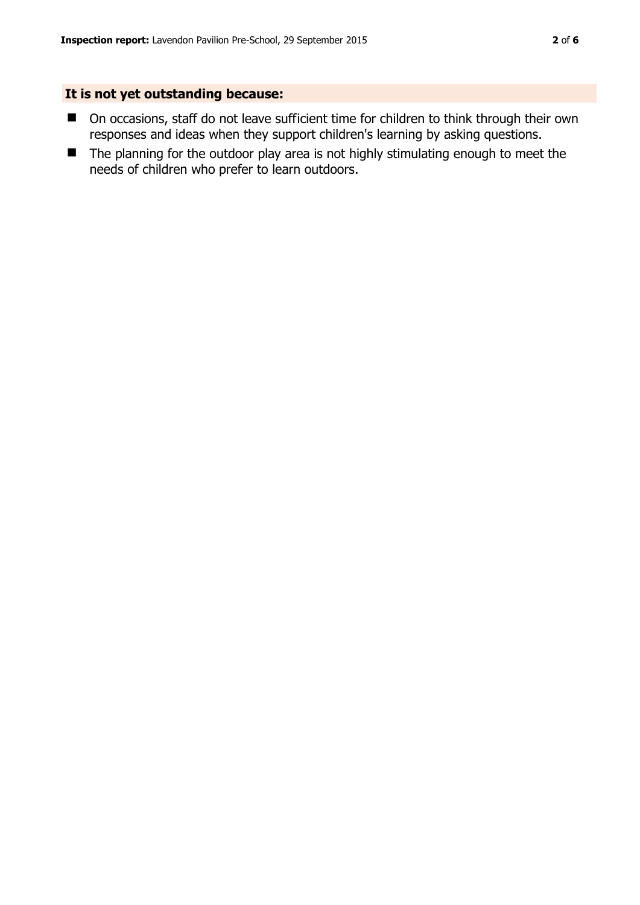### **It is not yet outstanding because:**

- On occasions, staff do not leave sufficient time for children to think through their own responses and ideas when they support children's learning by asking questions.
- The planning for the outdoor play area is not highly stimulating enough to meet the needs of children who prefer to learn outdoors.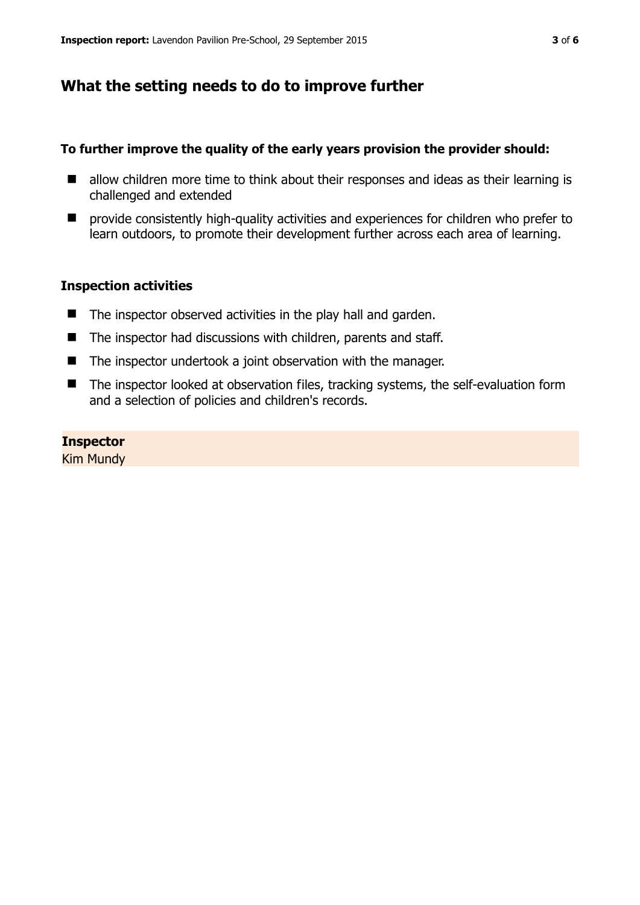# **What the setting needs to do to improve further**

#### **To further improve the quality of the early years provision the provider should:**

- allow children more time to think about their responses and ideas as their learning is challenged and extended
- provide consistently high-quality activities and experiences for children who prefer to learn outdoors, to promote their development further across each area of learning.

#### **Inspection activities**

- $\blacksquare$  The inspector observed activities in the play hall and garden.
- The inspector had discussions with children, parents and staff.
- The inspector undertook a joint observation with the manager.
- The inspector looked at observation files, tracking systems, the self-evaluation form and a selection of policies and children's records.

#### **Inspector**

Kim Mundy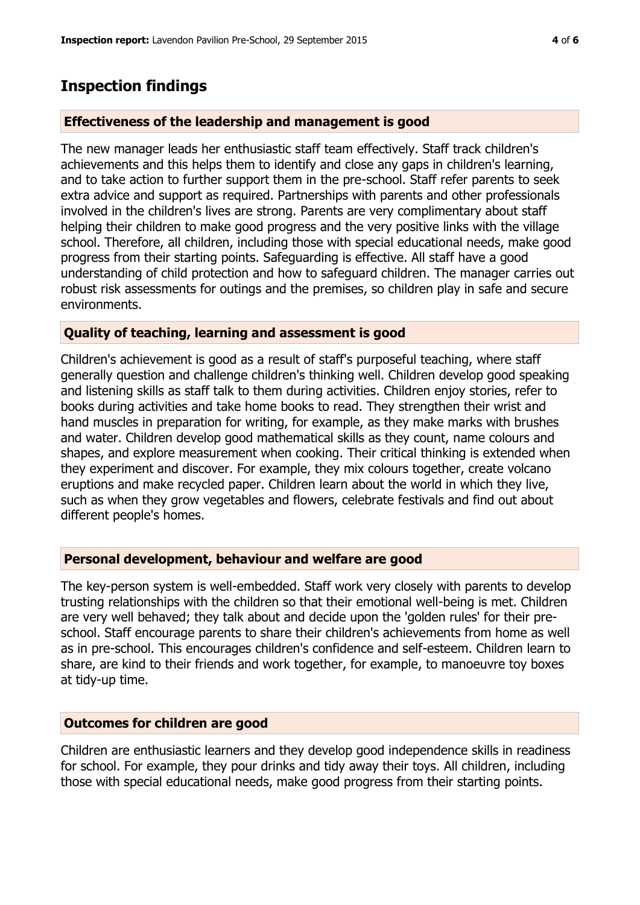## **Inspection findings**

#### **Effectiveness of the leadership and management is good**

The new manager leads her enthusiastic staff team effectively. Staff track children's achievements and this helps them to identify and close any gaps in children's learning, and to take action to further support them in the pre-school. Staff refer parents to seek extra advice and support as required. Partnerships with parents and other professionals involved in the children's lives are strong. Parents are very complimentary about staff helping their children to make good progress and the very positive links with the village school. Therefore, all children, including those with special educational needs, make good progress from their starting points. Safeguarding is effective. All staff have a good understanding of child protection and how to safeguard children. The manager carries out robust risk assessments for outings and the premises, so children play in safe and secure environments.

#### **Quality of teaching, learning and assessment is good**

Children's achievement is good as a result of staff's purposeful teaching, where staff generally question and challenge children's thinking well. Children develop good speaking and listening skills as staff talk to them during activities. Children enjoy stories, refer to books during activities and take home books to read. They strengthen their wrist and hand muscles in preparation for writing, for example, as they make marks with brushes and water. Children develop good mathematical skills as they count, name colours and shapes, and explore measurement when cooking. Their critical thinking is extended when they experiment and discover. For example, they mix colours together, create volcano eruptions and make recycled paper. Children learn about the world in which they live, such as when they grow vegetables and flowers, celebrate festivals and find out about different people's homes.

#### **Personal development, behaviour and welfare are good**

The key-person system is well-embedded. Staff work very closely with parents to develop trusting relationships with the children so that their emotional well-being is met. Children are very well behaved; they talk about and decide upon the 'golden rules' for their preschool. Staff encourage parents to share their children's achievements from home as well as in pre-school. This encourages children's confidence and self-esteem. Children learn to share, are kind to their friends and work together, for example, to manoeuvre toy boxes at tidy-up time.

#### **Outcomes for children are good**

Children are enthusiastic learners and they develop good independence skills in readiness for school. For example, they pour drinks and tidy away their toys. All children, including those with special educational needs, make good progress from their starting points.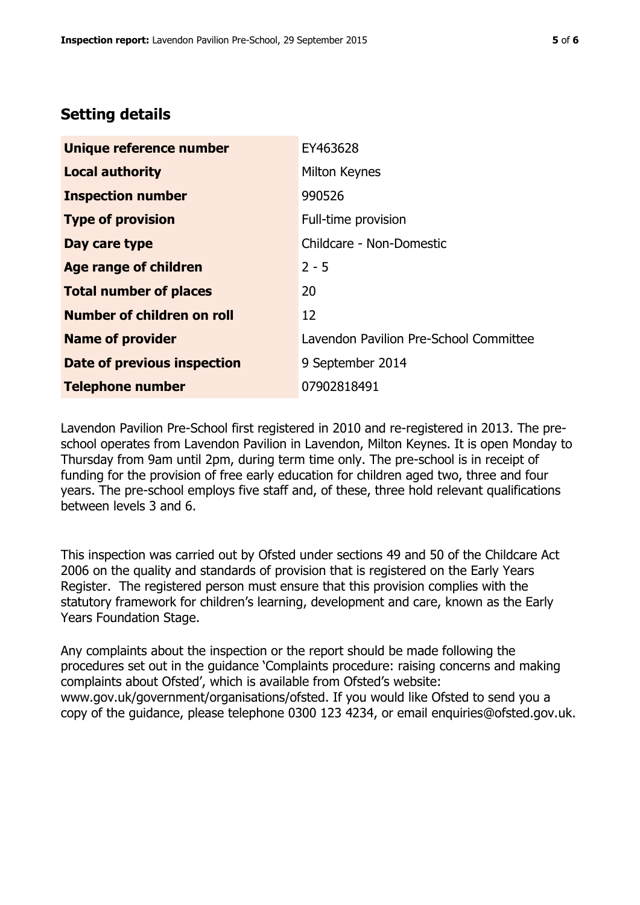# **Setting details**

| Unique reference number       | EY463628                               |  |
|-------------------------------|----------------------------------------|--|
| <b>Local authority</b>        | Milton Keynes                          |  |
| <b>Inspection number</b>      | 990526                                 |  |
| <b>Type of provision</b>      | Full-time provision                    |  |
| Day care type                 | Childcare - Non-Domestic               |  |
| Age range of children         | $2 - 5$                                |  |
| <b>Total number of places</b> | 20                                     |  |
| Number of children on roll    | 12                                     |  |
| <b>Name of provider</b>       | Lavendon Pavilion Pre-School Committee |  |
| Date of previous inspection   | 9 September 2014                       |  |
| <b>Telephone number</b>       | 07902818491                            |  |

Lavendon Pavilion Pre-School first registered in 2010 and re-registered in 2013. The preschool operates from Lavendon Pavilion in Lavendon, Milton Keynes. It is open Monday to Thursday from 9am until 2pm, during term time only. The pre-school is in receipt of funding for the provision of free early education for children aged two, three and four years. The pre-school employs five staff and, of these, three hold relevant qualifications between levels 3 and 6.

This inspection was carried out by Ofsted under sections 49 and 50 of the Childcare Act 2006 on the quality and standards of provision that is registered on the Early Years Register. The registered person must ensure that this provision complies with the statutory framework for children's learning, development and care, known as the Early Years Foundation Stage.

Any complaints about the inspection or the report should be made following the procedures set out in the guidance 'Complaints procedure: raising concerns and making complaints about Ofsted', which is available from Ofsted's website: www.gov.uk/government/organisations/ofsted. If you would like Ofsted to send you a copy of the guidance, please telephone 0300 123 4234, or email enquiries@ofsted.gov.uk.